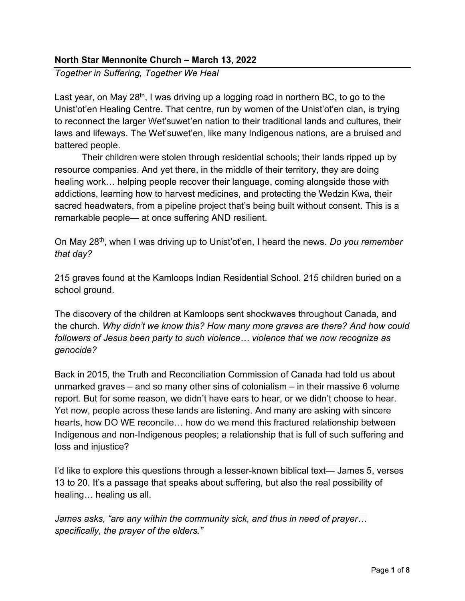## North Star Mennonite Church – March 13, 2022

Together in Suffering, Together We Heal

Last year, on May 28<sup>th</sup>, I was driving up a logging road in northern BC, to go to the Unist'ot'en Healing Centre. That centre, run by women of the Unist'ot'en clan, is trying to reconnect the larger Wet'suwet'en nation to their traditional lands and cultures, their laws and lifeways. The Wet'suwet'en, like many Indigenous nations, are a bruised and battered people.

Their children were stolen through residential schools; their lands ripped up by resource companies. And yet there, in the middle of their territory, they are doing healing work… helping people recover their language, coming alongside those with addictions, learning how to harvest medicines, and protecting the Wedzin Kwa, their sacred headwaters, from a pipeline project that's being built without consent. This is a remarkable people— at once suffering AND resilient.

On May 28<sup>th</sup>, when I was driving up to Unist'ot'en, I heard the news. Do you remember that day?

215 graves found at the Kamloops Indian Residential School. 215 children buried on a school ground.

The discovery of the children at Kamloops sent shockwaves throughout Canada, and the church. Why didn't we know this? How many more graves are there? And how could followers of Jesus been party to such violence… violence that we now recognize as genocide?

Back in 2015, the Truth and Reconciliation Commission of Canada had told us about unmarked graves – and so many other sins of colonialism – in their massive 6 volume report. But for some reason, we didn't have ears to hear, or we didn't choose to hear. Yet now, people across these lands are listening. And many are asking with sincere hearts, how DO WE reconcile… how do we mend this fractured relationship between Indigenous and non-Indigenous peoples; a relationship that is full of such suffering and loss and injustice?

I'd like to explore this questions through a lesser-known biblical text— James 5, verses 13 to 20. It's a passage that speaks about suffering, but also the real possibility of healing… healing us all.

James asks, "are any within the community sick, and thus in need of prayer… specifically, the prayer of the elders."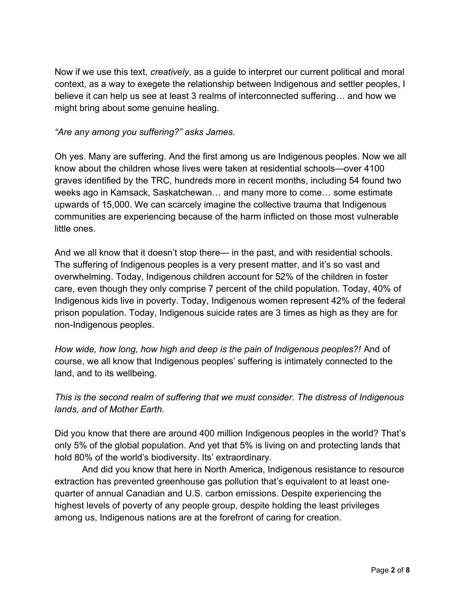Now if we use this text, *creatively*, as a quide to interpret our current political and moral context, as a way to exegete the relationship between Indigenous and settler peoples, I believe it can help us see at least 3 realms of interconnected suffering… and how we might bring about some genuine healing.

## "Are any among you suffering?" asks James.

Oh yes. Many are suffering. And the first among us are Indigenous peoples. Now we all know about the children whose lives were taken at residential schools—over 4100 graves identified by the TRC, hundreds more in recent months, including 54 found two weeks ago in Kamsack, Saskatchewan… and many more to come… some estimate upwards of 15,000. We can scarcely imagine the collective trauma that Indigenous communities are experiencing because of the harm inflicted on those most vulnerable little ones.

And we all know that it doesn't stop there— in the past, and with residential schools. The suffering of Indigenous peoples is a very present matter, and it's so vast and overwhelming. Today, Indigenous children account for 52% of the children in foster care, even though they only comprise 7 percent of the child population. Today, 40% of Indigenous kids live in poverty. Today, Indigenous women represent 42% of the federal prison population. Today, Indigenous suicide rates are 3 times as high as they are for non-Indigenous peoples.

How wide, how long, how high and deep is the pain of Indigenous peoples?! And of course, we all know that Indigenous peoples' suffering is intimately connected to the land, and to its wellbeing.

## This is the second realm of suffering that we must consider. The distress of Indigenous lands, and of Mother Earth.

Did you know that there are around 400 million Indigenous peoples in the world? That's only 5% of the global population. And yet that 5% is living on and protecting lands that hold 80% of the world's biodiversity. Its' extraordinary.

And did you know that here in North America, Indigenous resistance to resource extraction has prevented greenhouse gas pollution that's equivalent to at least onequarter of annual Canadian and U.S. carbon emissions. Despite experiencing the highest levels of poverty of any people group, despite holding the least privileges among us, Indigenous nations are at the forefront of caring for creation.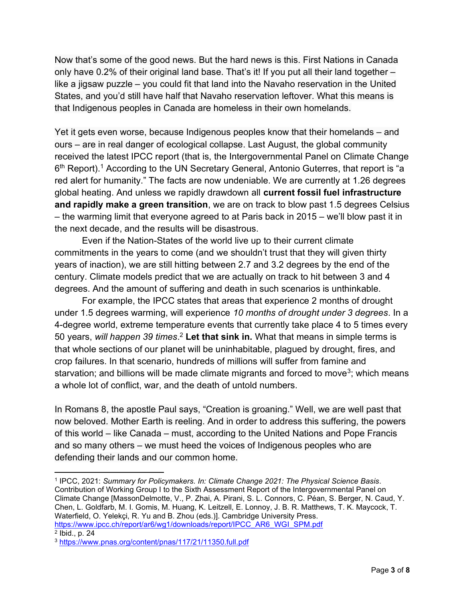Now that's some of the good news. But the hard news is this. First Nations in Canada only have 0.2% of their original land base. That's it! If you put all their land together – like a jigsaw puzzle – you could fit that land into the Navaho reservation in the United States, and you'd still have half that Navaho reservation leftover. What this means is that Indigenous peoples in Canada are homeless in their own homelands.

Yet it gets even worse, because Indigenous peoples know that their homelands – and ours – are in real danger of ecological collapse. Last August, the global community received the latest IPCC report (that is, the Intergovernmental Panel on Climate Change 6<sup>th</sup> Report).<sup>1</sup> According to the UN Secretary General, Antonio Guterres, that report is "a red alert for humanity." The facts are now undeniable. We are currently at 1.26 degrees global heating. And unless we rapidly drawdown all current fossil fuel infrastructure and rapidly make a green transition, we are on track to blow past 1.5 degrees Celsius – the warming limit that everyone agreed to at Paris back in 2015 – we'll blow past it in the next decade, and the results will be disastrous.

Even if the Nation-States of the world live up to their current climate commitments in the years to come (and we shouldn't trust that they will given thirty years of inaction), we are still hitting between 2.7 and 3.2 degrees by the end of the century. Climate models predict that we are actually on track to hit between 3 and 4 degrees. And the amount of suffering and death in such scenarios is unthinkable.

For example, the IPCC states that areas that experience 2 months of drought under 1.5 degrees warming, will experience 10 months of drought under 3 degrees. In a 4-degree world, extreme temperature events that currently take place 4 to 5 times every 50 years, will happen 39 times.<sup>2</sup> Let that sink in. What that means in simple terms is that whole sections of our planet will be uninhabitable, plagued by drought, fires, and crop failures. In that scenario, hundreds of millions will suffer from famine and starvation; and billions will be made climate migrants and forced to move<sup>3</sup>; which means a whole lot of conflict, war, and the death of untold numbers.

In Romans 8, the apostle Paul says, "Creation is groaning." Well, we are well past that now beloved. Mother Earth is reeling. And in order to address this suffering, the powers of this world – like Canada – must, according to the United Nations and Pope Francis and so many others – we must heed the voices of Indigenous peoples who are defending their lands and our common home.

<sup>1</sup> IPCC, 2021: Summary for Policymakers. In: Climate Change 2021: The Physical Science Basis. Contribution of Working Group I to the Sixth Assessment Report of the Intergovernmental Panel on Climate Change [MassonDelmotte, V., P. Zhai, A. Pirani, S. L. Connors, C. Péan, S. Berger, N. Caud, Y. Chen, L. Goldfarb, M. I. Gomis, M. Huang, K. Leitzell, E. Lonnoy, J. B. R. Matthews, T. K. Maycock, T. Waterfield, O. Yelekçi, R. Yu and B. Zhou (eds.)]. Cambridge University Press. https://www.ipcc.ch/report/ar6/wg1/downloads/report/IPCC\_AR6\_WGI\_SPM.pdf

<sup>2</sup> Ibid., p. 24

<sup>3</sup> https://www.pnas.org/content/pnas/117/21/11350.full.pdf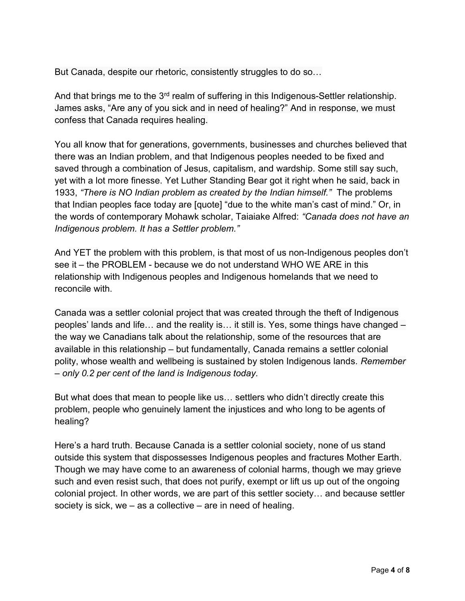But Canada, despite our rhetoric, consistently struggles to do so…

And that brings me to the 3<sup>rd</sup> realm of suffering in this Indigenous-Settler relationship. James asks, "Are any of you sick and in need of healing?" And in response, we must confess that Canada requires healing.

You all know that for generations, governments, businesses and churches believed that there was an Indian problem, and that Indigenous peoples needed to be fixed and saved through a combination of Jesus, capitalism, and wardship. Some still say such, yet with a lot more finesse. Yet Luther Standing Bear got it right when he said, back in 1933, "There is NO Indian problem as created by the Indian himself." The problems that Indian peoples face today are [quote] "due to the white man's cast of mind." Or, in the words of contemporary Mohawk scholar, Taiaiake Alfred: "Canada does not have an Indigenous problem. It has a Settler problem."

And YET the problem with this problem, is that most of us non-Indigenous peoples don't see it – the PROBLEM - because we do not understand WHO WE ARE in this relationship with Indigenous peoples and Indigenous homelands that we need to reconcile with.

Canada was a settler colonial project that was created through the theft of Indigenous peoples' lands and life… and the reality is… it still is. Yes, some things have changed – the way we Canadians talk about the relationship, some of the resources that are available in this relationship – but fundamentally, Canada remains a settler colonial polity, whose wealth and wellbeing is sustained by stolen Indigenous lands. Remember – only 0.2 per cent of the land is Indigenous today.

But what does that mean to people like us… settlers who didn't directly create this problem, people who genuinely lament the injustices and who long to be agents of healing?

Here's a hard truth. Because Canada is a settler colonial society, none of us stand outside this system that dispossesses Indigenous peoples and fractures Mother Earth. Though we may have come to an awareness of colonial harms, though we may grieve such and even resist such, that does not purify, exempt or lift us up out of the ongoing colonial project. In other words, we are part of this settler society… and because settler society is sick, we – as a collective – are in need of healing.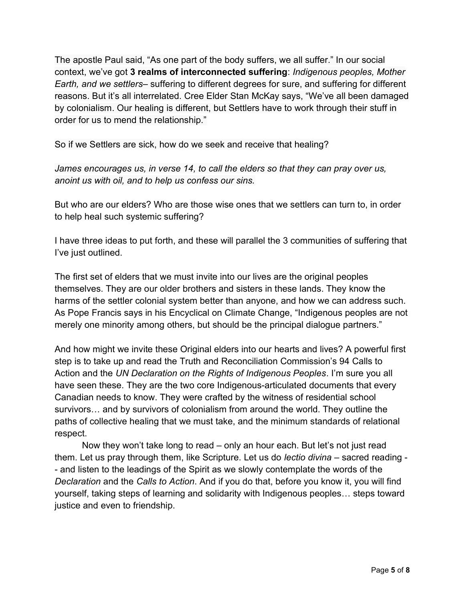The apostle Paul said, "As one part of the body suffers, we all suffer." In our social context, we've got 3 realms of interconnected suffering: Indigenous peoples, Mother Earth, and we settlers– suffering to different degrees for sure, and suffering for different reasons. But it's all interrelated. Cree Elder Stan McKay says, "We've all been damaged by colonialism. Our healing is different, but Settlers have to work through their stuff in order for us to mend the relationship."

So if we Settlers are sick, how do we seek and receive that healing?

James encourages us, in verse 14, to call the elders so that they can pray over us, anoint us with oil, and to help us confess our sins.

But who are our elders? Who are those wise ones that we settlers can turn to, in order to help heal such systemic suffering?

I have three ideas to put forth, and these will parallel the 3 communities of suffering that I've just outlined.

The first set of elders that we must invite into our lives are the original peoples themselves. They are our older brothers and sisters in these lands. They know the harms of the settler colonial system better than anyone, and how we can address such. As Pope Francis says in his Encyclical on Climate Change, "Indigenous peoples are not merely one minority among others, but should be the principal dialogue partners."

And how might we invite these Original elders into our hearts and lives? A powerful first step is to take up and read the Truth and Reconciliation Commission's 94 Calls to Action and the UN Declaration on the Rights of Indigenous Peoples. I'm sure you all have seen these. They are the two core Indigenous-articulated documents that every Canadian needs to know. They were crafted by the witness of residential school survivors… and by survivors of colonialism from around the world. They outline the paths of collective healing that we must take, and the minimum standards of relational respect.

Now they won't take long to read – only an hour each. But let's not just read them. Let us pray through them, like Scripture. Let us do *lectio divina* – sacred reading -- and listen to the leadings of the Spirit as we slowly contemplate the words of the Declaration and the Calls to Action. And if you do that, before you know it, you will find yourself, taking steps of learning and solidarity with Indigenous peoples… steps toward justice and even to friendship.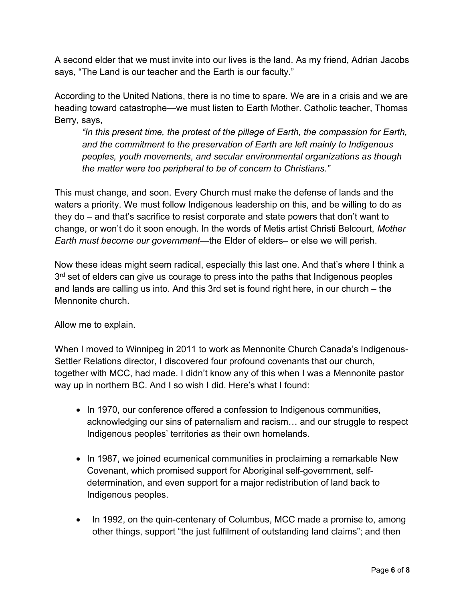A second elder that we must invite into our lives is the land. As my friend, Adrian Jacobs says, "The Land is our teacher and the Earth is our faculty."

According to the United Nations, there is no time to spare. We are in a crisis and we are heading toward catastrophe—we must listen to Earth Mother. Catholic teacher, Thomas Berry, says,

"In this present time, the protest of the pillage of Earth, the compassion for Earth, and the commitment to the preservation of Earth are left mainly to Indigenous peoples, youth movements, and secular environmental organizations as though the matter were too peripheral to be of concern to Christians."

This must change, and soon. Every Church must make the defense of lands and the waters a priority. We must follow Indigenous leadership on this, and be willing to do as they do – and that's sacrifice to resist corporate and state powers that don't want to change, or won't do it soon enough. In the words of Metis artist Christi Belcourt, Mother Earth must become our government—the Elder of elders– or else we will perish.

Now these ideas might seem radical, especially this last one. And that's where I think a 3<sup>rd</sup> set of elders can give us courage to press into the paths that Indigenous peoples and lands are calling us into. And this 3rd set is found right here, in our church – the Mennonite church.

Allow me to explain.

When I moved to Winnipeg in 2011 to work as Mennonite Church Canada's Indigenous-Settler Relations director, I discovered four profound covenants that our church, together with MCC, had made. I didn't know any of this when I was a Mennonite pastor way up in northern BC. And I so wish I did. Here's what I found:

- In 1970, our conference offered a confession to Indigenous communities, acknowledging our sins of paternalism and racism… and our struggle to respect Indigenous peoples' territories as their own homelands.
- In 1987, we joined ecumenical communities in proclaiming a remarkable New Covenant, which promised support for Aboriginal self-government, selfdetermination, and even support for a major redistribution of land back to Indigenous peoples.
- In 1992, on the quin-centenary of Columbus, MCC made a promise to, among other things, support "the just fulfilment of outstanding land claims"; and then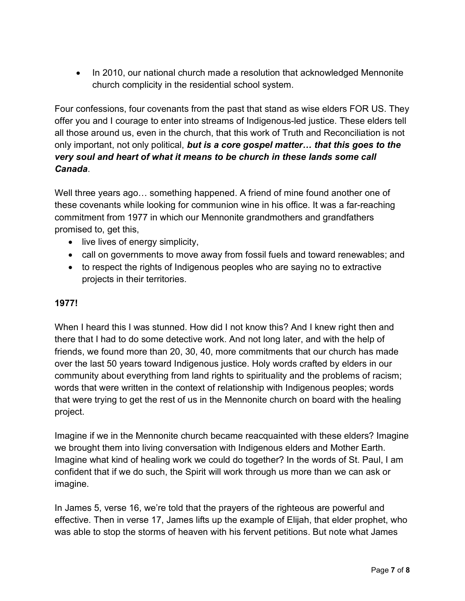• In 2010, our national church made a resolution that acknowledged Mennonite church complicity in the residential school system.

Four confessions, four covenants from the past that stand as wise elders FOR US. They offer you and I courage to enter into streams of Indigenous-led justice. These elders tell all those around us, even in the church, that this work of Truth and Reconciliation is not only important, not only political, but is a core gospel matter... that this goes to the very soul and heart of what it means to be church in these lands some call Canada.

Well three years ago… something happened. A friend of mine found another one of these covenants while looking for communion wine in his office. It was a far-reaching commitment from 1977 in which our Mennonite grandmothers and grandfathers promised to, get this,

- live lives of energy simplicity,
- call on governments to move away from fossil fuels and toward renewables; and
- to respect the rights of Indigenous peoples who are saying no to extractive projects in their territories.

## 1977!

When I heard this I was stunned. How did I not know this? And I knew right then and there that I had to do some detective work. And not long later, and with the help of friends, we found more than 20, 30, 40, more commitments that our church has made over the last 50 years toward Indigenous justice. Holy words crafted by elders in our community about everything from land rights to spirituality and the problems of racism; words that were written in the context of relationship with Indigenous peoples; words that were trying to get the rest of us in the Mennonite church on board with the healing project.

Imagine if we in the Mennonite church became reacquainted with these elders? Imagine we brought them into living conversation with Indigenous elders and Mother Earth. Imagine what kind of healing work we could do together? In the words of St. Paul, I am confident that if we do such, the Spirit will work through us more than we can ask or imagine.

In James 5, verse 16, we're told that the prayers of the righteous are powerful and effective. Then in verse 17, James lifts up the example of Elijah, that elder prophet, who was able to stop the storms of heaven with his fervent petitions. But note what James